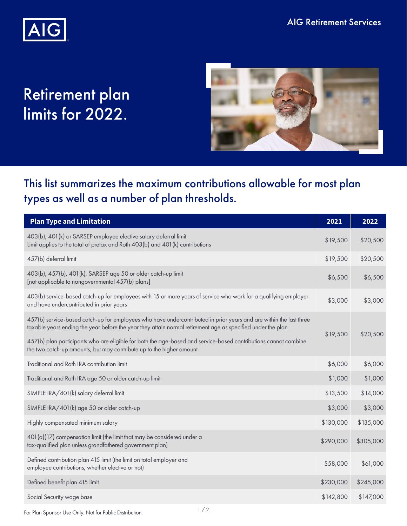

## Retirement plan limits for 2022.



## This list summarizes the maximum contributions allowable for most plan types as well as a number of plan thresholds.

| <b>Plan Type and Limitation</b>                                                                                                                                                                                                   | 2021      | 2022      |
|-----------------------------------------------------------------------------------------------------------------------------------------------------------------------------------------------------------------------------------|-----------|-----------|
| 403(b), 401(k) or SARSEP employee elective salary deferral limit<br>Limit applies to the total of pretax and Roth 403(b) and 401(k) contributions                                                                                 | \$19,500  | \$20,500  |
| 457(b) deferral limit                                                                                                                                                                                                             | \$19,500  | \$20,500  |
| 403(b), 457(b), 401(k), SARSEP age 50 or older catch-up limit<br>[not applicable to nongovernmental 457(b) plans]                                                                                                                 | \$6,500   | \$6,500   |
| 403(b) service-based catch-up for employees with 15 or more years of service who work for a qualifying employer<br>and have undercontributed in prior years                                                                       | \$3,000   | \$3,000   |
| 457(b) service-based catch-up for employees who have undercontributed in prior years and are within the last three<br>taxable years ending the year before the year they attain normal retirement age as specified under the plan | \$19,500  | \$20,500  |
| 457(b) plan participants who are eligible for both the age-based and service-based contributions cannot combine<br>the two catch-up amounts, but may contribute up to the higher amount                                           |           |           |
| Traditional and Roth IRA contribution limit                                                                                                                                                                                       | \$6,000   | \$6,000   |
| Traditional and Roth IRA age 50 or older catch-up limit                                                                                                                                                                           | \$1,000   | \$1,000   |
| SIMPLE IRA/401 (k) salary deferral limit                                                                                                                                                                                          | \$13,500  | \$14,000  |
| SIMPLE IRA/401 (k) age 50 or older catch-up                                                                                                                                                                                       | \$3,000   | \$3,000   |
| Highly compensated minimum salary                                                                                                                                                                                                 | \$130,000 | \$135,000 |
| 401(a)(17) compensation limit (the limit that may be considered under a<br>tax-qualified plan unless grandfathered government plan)                                                                                               | \$290,000 | \$305,000 |
| Defined contribution plan 415 limit (the limit on total employer and<br>employee contributions, whether elective or not)                                                                                                          | \$58,000  | \$61,000  |
| Defined benefit plan 415 limit                                                                                                                                                                                                    | \$230,000 | \$245,000 |
| Social Security wage base                                                                                                                                                                                                         | \$142,800 | \$147,000 |